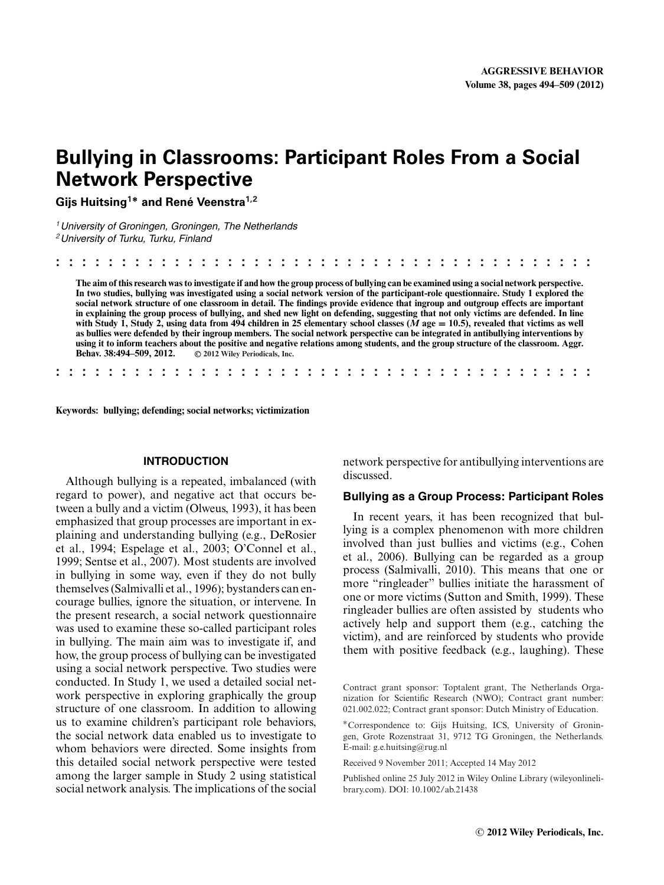# **Bullying in Classrooms: Participant Roles From a Social Network Perspective**

**Gijs Huitsing1∗ and Rene Veenstra ´ 1,2**

<sup>1</sup> University of Groningen, Groningen, The Netherlands <sup>2</sup> University of Turku, Turku, Finland

:::::::::::::::::::::::::::::::::::::::::

**The aim of this research was to investigate if and how the group process of bullying can be examined using a social network perspective. In two studies, bullying was investigated using a social network version of the participant-role questionnaire. Study 1 explored the social network structure of one classroom in detail. The findings provide evidence that ingroup and outgroup effects are important in explaining the group process of bullying, and shed new light on defending, suggesting that not only victims are defended. In line** with Study 1, Study 2, using data from  $494$  children in 25 elementary school classes ( $\overline{M}$  age = 10.5), revealed that victims as well **as bullies were defended by their ingroup members. The social network perspective can be integrated in antibullying interventions by** using it to inform teachers about the positive and negative relations among students, and the group structure of the classroom. Aggr.<br>Behav. 38:494–509, 2012. © 2012 Wiley Periodicals, Inc. **Behav. 38:494–509, 2012. <sup>C</sup> 2012 Wiley Periodicals, Inc.**

:::::::::::::::::::::::::::::::::::::::::

**Keywords: bullying; defending; social networks; victimization**

# **INTRODUCTION**

Although bullying is a repeated, imbalanced (with regard to power), and negative act that occurs between a bully and a victim (Olweus, 1993), it has been emphasized that group processes are important in explaining and understanding bullying (e.g., DeRosier et al., 1994; Espelage et al., 2003; O'Connel et al., 1999; Sentse et al., 2007). Most students are involved in bullying in some way, even if they do not bully themselves (Salmivalli et al., 1996); bystanders can encourage bullies, ignore the situation, or intervene. In the present research, a social network questionnaire was used to examine these so-called participant roles in bullying. The main aim was to investigate if, and how, the group process of bullying can be investigated using a social network perspective. Two studies were conducted. In Study 1, we used a detailed social network perspective in exploring graphically the group structure of one classroom. In addition to allowing us to examine children's participant role behaviors, the social network data enabled us to investigate to whom behaviors were directed. Some insights from this detailed social network perspective were tested among the larger sample in Study 2 using statistical social network analysis. The implications of the social

network perspective for antibullying interventions are discussed.

## **Bullying as a Group Process: Participant Roles**

In recent years, it has been recognized that bullying is a complex phenomenon with more children involved than just bullies and victims (e.g., Cohen et al., 2006). Bullying can be regarded as a group process (Salmivalli, 2010). This means that one or more "ringleader" bullies initiate the harassment of one or more victims (Sutton and Smith, 1999). These ringleader bullies are often assisted by students who actively help and support them (e.g., catching the victim), and are reinforced by students who provide them with positive feedback (e.g., laughing). These

Contract grant sponsor: Toptalent grant, The Netherlands Organization for Scientific Research (NWO); Contract grant number: 021.002.022; Contract grant sponsor: Dutch Ministry of Education.

<sup>∗</sup>Correspondence to: Gijs Huitsing, ICS, University of Groningen, Grote Rozenstraat 31, 9712 TG Groningen, the Netherlands. E-mail: g.e.huitsing@rug.nl

Received 9 November 2011; Accepted 14 May 2012

Published online 25 July 2012 in Wiley Online Library (wileyonlinelibrary.com). DOI: 10.1002/ab.21438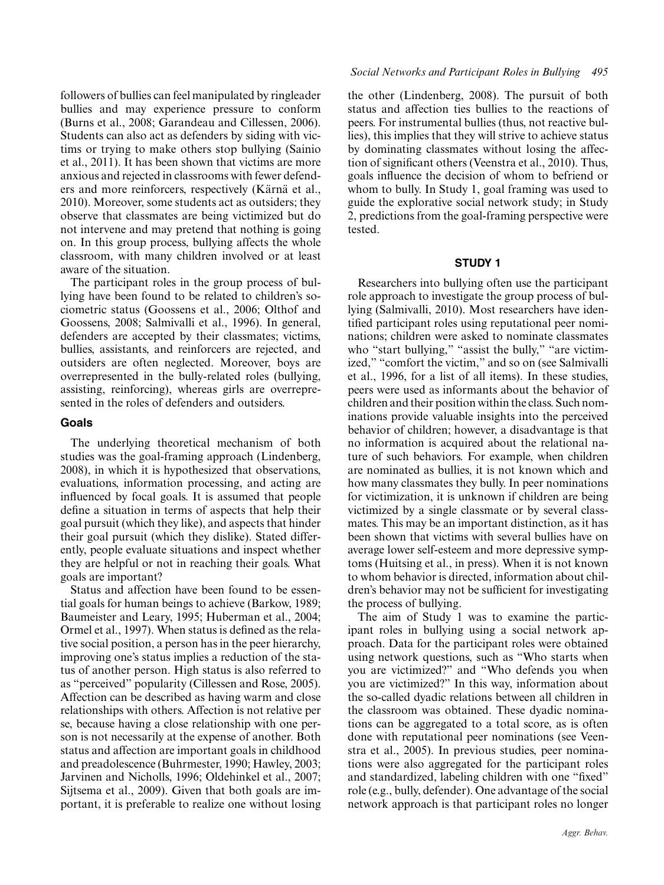followers of bullies can feel manipulated by ringleader bullies and may experience pressure to conform (Burns et al., 2008; Garandeau and Cillessen, 2006). Students can also act as defenders by siding with victims or trying to make others stop bullying (Sainio et al., 2011). It has been shown that victims are more anxious and rejected in classrooms with fewer defenders and more reinforcers, respectively (Kärnä et al., 2010). Moreover, some students act as outsiders; they observe that classmates are being victimized but do not intervene and may pretend that nothing is going on. In this group process, bullying affects the whole classroom, with many children involved or at least aware of the situation.

The participant roles in the group process of bullying have been found to be related to children's sociometric status (Goossens et al., 2006; Olthof and Goossens, 2008; Salmivalli et al., 1996). In general, defenders are accepted by their classmates; victims, bullies, assistants, and reinforcers are rejected, and outsiders are often neglected. Moreover, boys are overrepresented in the bully-related roles (bullying, assisting, reinforcing), whereas girls are overrepresented in the roles of defenders and outsiders.

# **Goals**

The underlying theoretical mechanism of both studies was the goal-framing approach (Lindenberg, 2008), in which it is hypothesized that observations, evaluations, information processing, and acting are influenced by focal goals. It is assumed that people define a situation in terms of aspects that help their goal pursuit (which they like), and aspects that hinder their goal pursuit (which they dislike). Stated differently, people evaluate situations and inspect whether they are helpful or not in reaching their goals. What goals are important?

Status and affection have been found to be essential goals for human beings to achieve (Barkow, 1989; Baumeister and Leary, 1995; Huberman et al., 2004; Ormel et al., 1997). When status is defined as the relative social position, a person has in the peer hierarchy, improving one's status implies a reduction of the status of another person. High status is also referred to as "perceived" popularity (Cillessen and Rose, 2005). Affection can be described as having warm and close relationships with others. Affection is not relative per se, because having a close relationship with one person is not necessarily at the expense of another. Both status and affection are important goals in childhood and preadolescence (Buhrmester, 1990; Hawley, 2003; Jarvinen and Nicholls, 1996; Oldehinkel et al., 2007; Sijtsema et al., 2009). Given that both goals are important, it is preferable to realize one without losing the other (Lindenberg, 2008). The pursuit of both status and affection ties bullies to the reactions of peers. For instrumental bullies (thus, not reactive bullies), this implies that they will strive to achieve status by dominating classmates without losing the affection of significant others (Veenstra et al., 2010). Thus, goals influence the decision of whom to befriend or whom to bully. In Study 1, goal framing was used to guide the explorative social network study; in Study 2, predictions from the goal-framing perspective were tested.

# **STUDY 1**

Researchers into bullying often use the participant role approach to investigate the group process of bullying (Salmivalli, 2010). Most researchers have identified participant roles using reputational peer nominations; children were asked to nominate classmates who "start bullying," "assist the bully," "are victimized," "comfort the victim," and so on (see Salmivalli et al., 1996, for a list of all items). In these studies, peers were used as informants about the behavior of children and their position within the class. Such nominations provide valuable insights into the perceived behavior of children; however, a disadvantage is that no information is acquired about the relational nature of such behaviors. For example, when children are nominated as bullies, it is not known which and how many classmates they bully. In peer nominations for victimization, it is unknown if children are being victimized by a single classmate or by several classmates. This may be an important distinction, as it has been shown that victims with several bullies have on average lower self-esteem and more depressive symptoms (Huitsing et al., in press). When it is not known to whom behavior is directed, information about children's behavior may not be sufficient for investigating the process of bullying.

The aim of Study 1 was to examine the participant roles in bullying using a social network approach. Data for the participant roles were obtained using network questions, such as "Who starts when you are victimized?" and "Who defends you when you are victimized?" In this way, information about the so-called dyadic relations between all children in the classroom was obtained. These dyadic nominations can be aggregated to a total score, as is often done with reputational peer nominations (see Veenstra et al., 2005). In previous studies, peer nominations were also aggregated for the participant roles and standardized, labeling children with one "fixed" role (e.g., bully, defender). One advantage of the social network approach is that participant roles no longer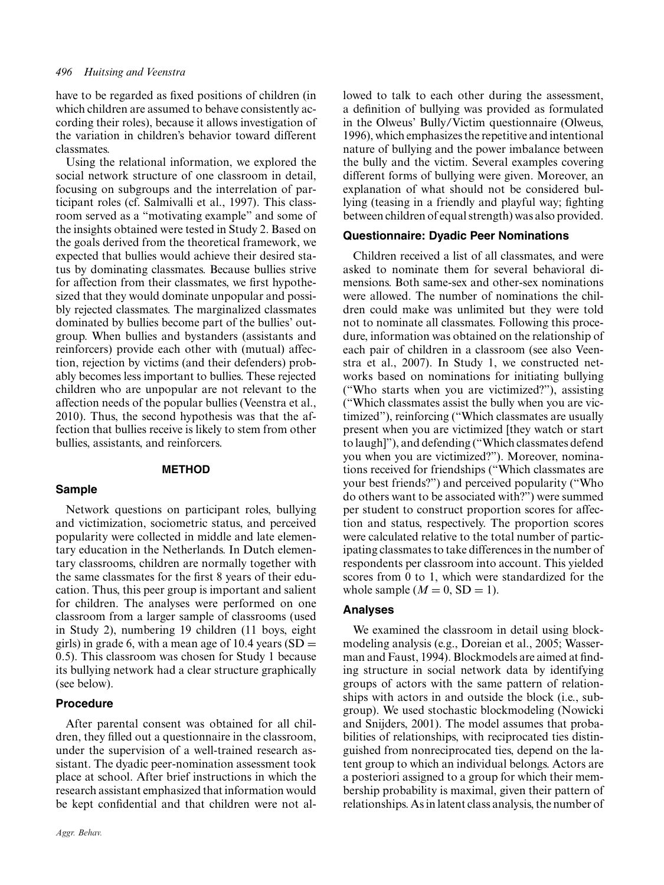## *496 Huitsing and Veenstra*

have to be regarded as fixed positions of children (in which children are assumed to behave consistently according their roles), because it allows investigation of the variation in children's behavior toward different classmates.

Using the relational information, we explored the social network structure of one classroom in detail, focusing on subgroups and the interrelation of participant roles (cf. Salmivalli et al., 1997). This classroom served as a "motivating example" and some of the insights obtained were tested in Study 2. Based on the goals derived from the theoretical framework, we expected that bullies would achieve their desired status by dominating classmates. Because bullies strive for affection from their classmates, we first hypothesized that they would dominate unpopular and possibly rejected classmates. The marginalized classmates dominated by bullies become part of the bullies' outgroup. When bullies and bystanders (assistants and reinforcers) provide each other with (mutual) affection, rejection by victims (and their defenders) probably becomes less important to bullies. These rejected children who are unpopular are not relevant to the affection needs of the popular bullies (Veenstra et al., 2010). Thus, the second hypothesis was that the affection that bullies receive is likely to stem from other bullies, assistants, and reinforcers.

# **METHOD**

# **Sample**

Network questions on participant roles, bullying and victimization, sociometric status, and perceived popularity were collected in middle and late elementary education in the Netherlands. In Dutch elementary classrooms, children are normally together with the same classmates for the first 8 years of their education. Thus, this peer group is important and salient for children. The analyses were performed on one classroom from a larger sample of classrooms (used in Study 2), numbering 19 children (11 boys, eight girls) in grade 6, with a mean age of 10.4 years ( $SD =$ 0.5). This classroom was chosen for Study 1 because its bullying network had a clear structure graphically (see below).

# **Procedure**

After parental consent was obtained for all children, they filled out a questionnaire in the classroom, under the supervision of a well-trained research assistant. The dyadic peer-nomination assessment took place at school. After brief instructions in which the research assistant emphasized that information would be kept confidential and that children were not allowed to talk to each other during the assessment, a definition of bullying was provided as formulated in the Olweus' Bully/Victim questionnaire (Olweus, 1996), which emphasizes the repetitive and intentional nature of bullying and the power imbalance between the bully and the victim. Several examples covering different forms of bullying were given. Moreover, an explanation of what should not be considered bullying (teasing in a friendly and playful way; fighting between children of equal strength) was also provided.

# **Questionnaire: Dyadic Peer Nominations**

Children received a list of all classmates, and were asked to nominate them for several behavioral dimensions. Both same-sex and other-sex nominations were allowed. The number of nominations the children could make was unlimited but they were told not to nominate all classmates. Following this procedure, information was obtained on the relationship of each pair of children in a classroom (see also Veenstra et al., 2007). In Study 1, we constructed networks based on nominations for initiating bullying ("Who starts when you are victimized?"), assisting ("Which classmates assist the bully when you are victimized"), reinforcing ("Which classmates are usually present when you are victimized [they watch or start to laugh]"), and defending ("Which classmates defend you when you are victimized?"). Moreover, nominations received for friendships ("Which classmates are your best friends?") and perceived popularity ("Who do others want to be associated with?") were summed per student to construct proportion scores for affection and status, respectively. The proportion scores were calculated relative to the total number of participating classmates to take differences in the number of respondents per classroom into account. This yielded scores from 0 to 1, which were standardized for the whole sample  $(M = 0, SD = 1)$ .

## **Analyses**

We examined the classroom in detail using blockmodeling analysis (e.g., Doreian et al., 2005; Wasserman and Faust, 1994). Blockmodels are aimed at finding structure in social network data by identifying groups of actors with the same pattern of relationships with actors in and outside the block (i.e., subgroup). We used stochastic blockmodeling (Nowicki and Snijders, 2001). The model assumes that probabilities of relationships, with reciprocated ties distinguished from nonreciprocated ties, depend on the latent group to which an individual belongs. Actors are a posteriori assigned to a group for which their membership probability is maximal, given their pattern of relationships. As in latent class analysis, the number of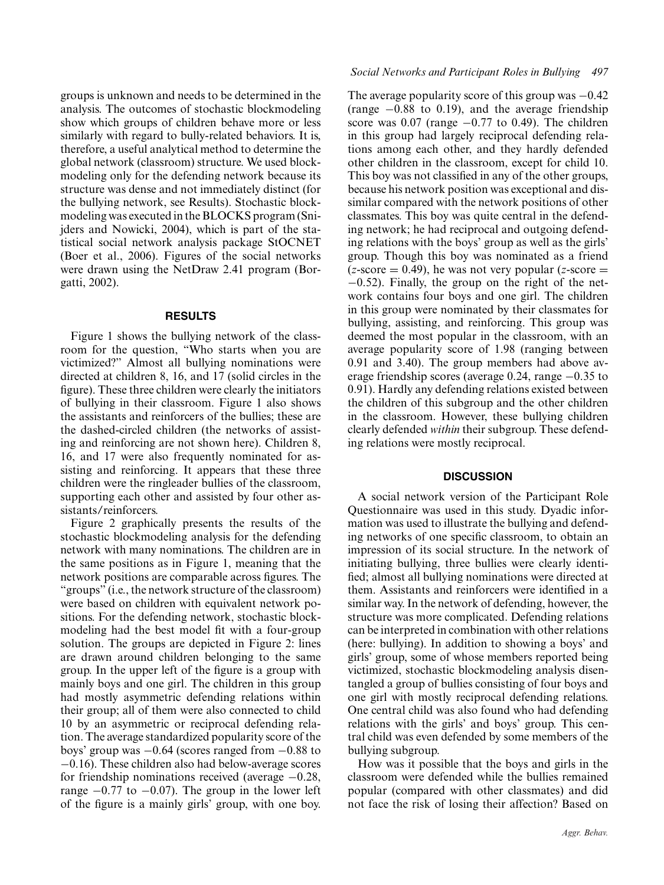groups is unknown and needs to be determined in the analysis. The outcomes of stochastic blockmodeling show which groups of children behave more or less similarly with regard to bully-related behaviors. It is, therefore, a useful analytical method to determine the global network (classroom) structure. We used blockmodeling only for the defending network because its structure was dense and not immediately distinct (for the bullying network, see Results). Stochastic blockmodeling was executed in the BLOCKS program (Snijders and Nowicki, 2004), which is part of the statistical social network analysis package StOCNET (Boer et al., 2006). Figures of the social networks were drawn using the NetDraw 2.41 program (Borgatti, 2002).

## **RESULTS**

Figure 1 shows the bullying network of the classroom for the question, "Who starts when you are victimized?" Almost all bullying nominations were directed at children 8, 16, and 17 (solid circles in the figure). These three children were clearly the initiators of bullying in their classroom. Figure 1 also shows the assistants and reinforcers of the bullies; these are the dashed-circled children (the networks of assisting and reinforcing are not shown here). Children 8, 16, and 17 were also frequently nominated for assisting and reinforcing. It appears that these three children were the ringleader bullies of the classroom, supporting each other and assisted by four other assistants/reinforcers.

Figure 2 graphically presents the results of the stochastic blockmodeling analysis for the defending network with many nominations. The children are in the same positions as in Figure 1, meaning that the network positions are comparable across figures. The "groups" (i.e., the network structure of the classroom) were based on children with equivalent network positions. For the defending network, stochastic blockmodeling had the best model fit with a four-group solution. The groups are depicted in Figure 2: lines are drawn around children belonging to the same group. In the upper left of the figure is a group with mainly boys and one girl. The children in this group had mostly asymmetric defending relations within their group; all of them were also connected to child 10 by an asymmetric or reciprocal defending relation. The average standardized popularity score of the boys' group was −0.64 (scores ranged from −0.88 to −0.16). These children also had below-average scores for friendship nominations received (average −0.28, range  $-0.77$  to  $-0.07$ ). The group in the lower left of the figure is a mainly girls' group, with one boy.

#### *Social Networks and Participant Roles in Bullying 497*

The average popularity score of this group was  $-0.42$ (range −0.88 to 0.19), and the average friendship score was  $0.07$  (range  $-0.77$  to 0.49). The children in this group had largely reciprocal defending relations among each other, and they hardly defended other children in the classroom, except for child 10. This boy was not classified in any of the other groups, because his network position was exceptional and dissimilar compared with the network positions of other classmates. This boy was quite central in the defending network; he had reciprocal and outgoing defending relations with the boys' group as well as the girls' group. Though this boy was nominated as a friend  $(z\text{-score} = 0.49)$ , he was not very popular  $(z\text{-score} = 0.49)$ −0.52). Finally, the group on the right of the network contains four boys and one girl. The children in this group were nominated by their classmates for bullying, assisting, and reinforcing. This group was deemed the most popular in the classroom, with an average popularity score of 1.98 (ranging between 0.91 and 3.40). The group members had above average friendship scores (average 0.24, range −0.35 to 0.91). Hardly any defending relations existed between the children of this subgroup and the other children in the classroom. However, these bullying children clearly defended *within* their subgroup. These defending relations were mostly reciprocal.

## **DISCUSSION**

A social network version of the Participant Role Questionnaire was used in this study. Dyadic information was used to illustrate the bullying and defending networks of one specific classroom, to obtain an impression of its social structure. In the network of initiating bullying, three bullies were clearly identified; almost all bullying nominations were directed at them. Assistants and reinforcers were identified in a similar way. In the network of defending, however, the structure was more complicated. Defending relations can be interpreted in combination with other relations (here: bullying). In addition to showing a boys' and girls' group, some of whose members reported being victimized, stochastic blockmodeling analysis disentangled a group of bullies consisting of four boys and one girl with mostly reciprocal defending relations. One central child was also found who had defending relations with the girls' and boys' group. This central child was even defended by some members of the bullying subgroup.

How was it possible that the boys and girls in the classroom were defended while the bullies remained popular (compared with other classmates) and did not face the risk of losing their affection? Based on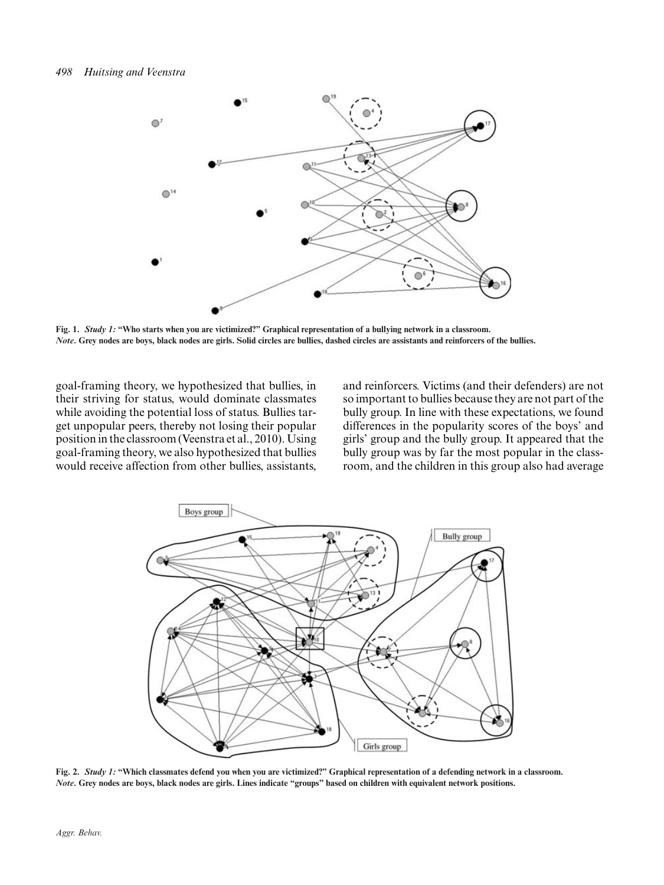

**Fig. 1.** *Study 1:* **"Who starts when you are victimized?" Graphical representation of a bullying network in a classroom.** *Note***. Grey nodes are boys, black nodes are girls. Solid circles are bullies, dashed circles are assistants and reinforcers of the bullies.**

goal-framing theory, we hypothesized that bullies, in their striving for status, would dominate classmates while avoiding the potential loss of status. Bullies target unpopular peers, thereby not losing their popular position in the classroom (Veenstra et al., 2010). Using goal-framing theory, we also hypothesized that bullies would receive affection from other bullies, assistants, and reinforcers. Victims (and their defenders) are not so important to bullies because they are not part of the bully group. In line with these expectations, we found differences in the popularity scores of the boys' and girls' group and the bully group. It appeared that the bully group was by far the most popular in the classroom, and the children in this group also had average



**Fig. 2.** *Study 1:* **"Which classmates defend you when you are victimized?" Graphical representation of a defending network in a classroom.** *Note***. Grey nodes are boys, black nodes are girls. Lines indicate "groups" based on children with equivalent network positions.**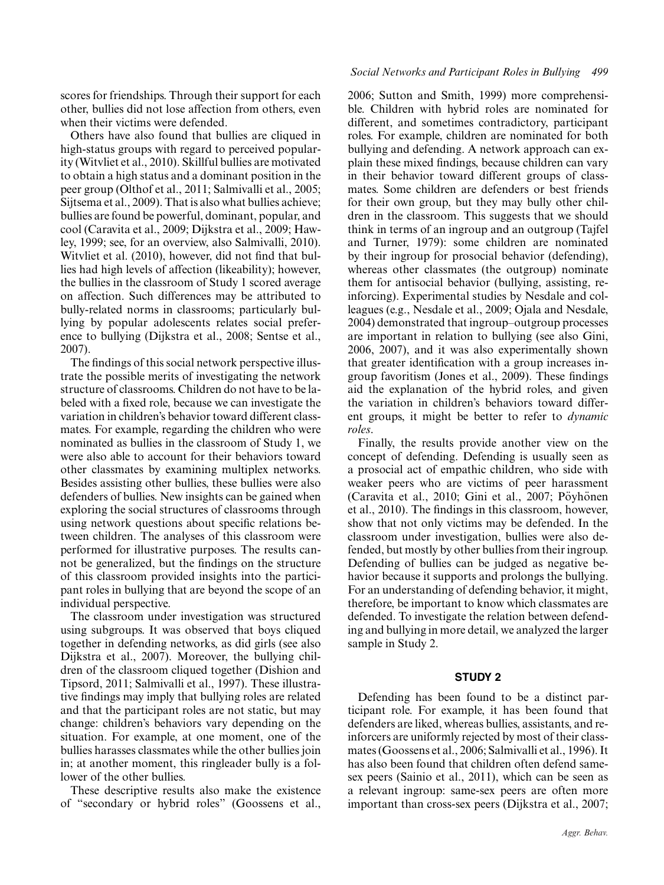scores for friendships. Through their support for each other, bullies did not lose affection from others, even when their victims were defended.

Others have also found that bullies are cliqued in high-status groups with regard to perceived popularity (Witvliet et al., 2010). Skillful bullies are motivated to obtain a high status and a dominant position in the peer group (Olthof et al., 2011; Salmivalli et al., 2005; Sijtsema et al., 2009). That is also what bullies achieve; bullies are found be powerful, dominant, popular, and cool (Caravita et al., 2009; Dijkstra et al., 2009; Hawley, 1999; see, for an overview, also Salmivalli, 2010). Witvliet et al. (2010), however, did not find that bullies had high levels of affection (likeability); however, the bullies in the classroom of Study 1 scored average on affection. Such differences may be attributed to bully-related norms in classrooms; particularly bullying by popular adolescents relates social preference to bullying (Dijkstra et al., 2008; Sentse et al., 2007).

The findings of this social network perspective illustrate the possible merits of investigating the network structure of classrooms. Children do not have to be labeled with a fixed role, because we can investigate the variation in children's behavior toward different classmates. For example, regarding the children who were nominated as bullies in the classroom of Study 1, we were also able to account for their behaviors toward other classmates by examining multiplex networks. Besides assisting other bullies, these bullies were also defenders of bullies. New insights can be gained when exploring the social structures of classrooms through using network questions about specific relations between children. The analyses of this classroom were performed for illustrative purposes. The results cannot be generalized, but the findings on the structure of this classroom provided insights into the participant roles in bullying that are beyond the scope of an individual perspective.

The classroom under investigation was structured using subgroups. It was observed that boys cliqued together in defending networks, as did girls (see also Dijkstra et al., 2007). Moreover, the bullying children of the classroom cliqued together (Dishion and Tipsord, 2011; Salmivalli et al., 1997). These illustrative findings may imply that bullying roles are related and that the participant roles are not static, but may change: children's behaviors vary depending on the situation. For example, at one moment, one of the bullies harasses classmates while the other bullies join in; at another moment, this ringleader bully is a follower of the other bullies.

These descriptive results also make the existence of "secondary or hybrid roles" (Goossens et al.,

## *Social Networks and Participant Roles in Bullying 499*

2006; Sutton and Smith, 1999) more comprehensible. Children with hybrid roles are nominated for different, and sometimes contradictory, participant roles. For example, children are nominated for both bullying and defending. A network approach can explain these mixed findings, because children can vary in their behavior toward different groups of classmates. Some children are defenders or best friends for their own group, but they may bully other children in the classroom. This suggests that we should think in terms of an ingroup and an outgroup (Tajfel and Turner, 1979): some children are nominated by their ingroup for prosocial behavior (defending), whereas other classmates (the outgroup) nominate them for antisocial behavior (bullying, assisting, reinforcing). Experimental studies by Nesdale and colleagues (e.g., Nesdale et al., 2009; Ojala and Nesdale, 2004) demonstrated that ingroup–outgroup processes are important in relation to bullying (see also Gini, 2006, 2007), and it was also experimentally shown that greater identification with a group increases ingroup favoritism (Jones et al., 2009). These findings aid the explanation of the hybrid roles, and given the variation in children's behaviors toward different groups, it might be better to refer to *dynamic roles*.

Finally, the results provide another view on the concept of defending. Defending is usually seen as a prosocial act of empathic children, who side with weaker peers who are victims of peer harassment (Caravita et al., 2010; Gini et al., 2007; Pöyhönen et al., 2010). The findings in this classroom, however, show that not only victims may be defended. In the classroom under investigation, bullies were also defended, but mostly by other bullies from their ingroup. Defending of bullies can be judged as negative behavior because it supports and prolongs the bullying. For an understanding of defending behavior, it might, therefore, be important to know which classmates are defended. To investigate the relation between defending and bullying in more detail, we analyzed the larger sample in Study 2.

#### **STUDY 2**

Defending has been found to be a distinct participant role. For example, it has been found that defenders are liked, whereas bullies, assistants, and reinforcers are uniformly rejected by most of their classmates (Goossens et al., 2006; Salmivalli et al., 1996). It has also been found that children often defend samesex peers (Sainio et al., 2011), which can be seen as a relevant ingroup: same-sex peers are often more important than cross-sex peers (Dijkstra et al., 2007;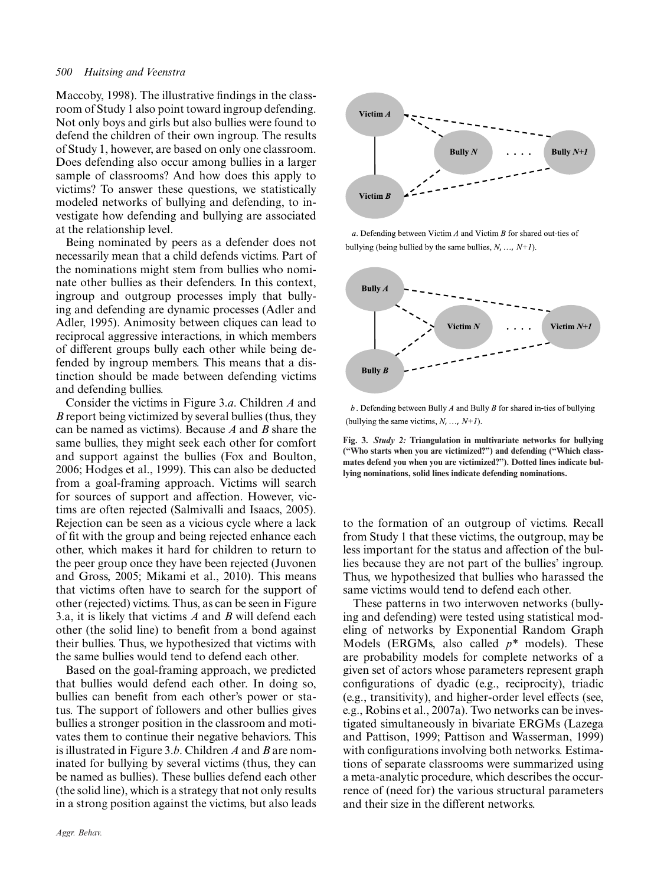## *500 Huitsing and Veenstra*

Maccoby, 1998). The illustrative findings in the classroom of Study 1 also point toward ingroup defending. Not only boys and girls but also bullies were found to defend the children of their own ingroup. The results of Study 1, however, are based on only one classroom. Does defending also occur among bullies in a larger sample of classrooms? And how does this apply to victims? To answer these questions, we statistically modeled networks of bullying and defending, to investigate how defending and bullying are associated at the relationship level.

Being nominated by peers as a defender does not necessarily mean that a child defends victims. Part of the nominations might stem from bullies who nominate other bullies as their defenders. In this context, ingroup and outgroup processes imply that bullying and defending are dynamic processes (Adler and Adler, 1995). Animosity between cliques can lead to reciprocal aggressive interactions, in which members of different groups bully each other while being defended by ingroup members. This means that a distinction should be made between defending victims and defending bullies.

Consider the victims in Figure 3.*a*. Children *A* and *B* report being victimized by several bullies (thus, they can be named as victims). Because *A* and *B* share the same bullies, they might seek each other for comfort and support against the bullies (Fox and Boulton, 2006; Hodges et al., 1999). This can also be deducted from a goal-framing approach. Victims will search for sources of support and affection. However, victims are often rejected (Salmivalli and Isaacs, 2005). Rejection can be seen as a vicious cycle where a lack of fit with the group and being rejected enhance each other, which makes it hard for children to return to the peer group once they have been rejected (Juvonen and Gross, 2005; Mikami et al., 2010). This means that victims often have to search for the support of other (rejected) victims. Thus, as can be seen in Figure 3.a, it is likely that victims *A* and *B* will defend each other (the solid line) to benefit from a bond against their bullies. Thus, we hypothesized that victims with the same bullies would tend to defend each other.

Based on the goal-framing approach, we predicted that bullies would defend each other. In doing so, bullies can benefit from each other's power or status. The support of followers and other bullies gives bullies a stronger position in the classroom and motivates them to continue their negative behaviors. This is illustrated in Figure 3.*b*. Children *A* and *B* are nominated for bullying by several victims (thus, they can be named as bullies). These bullies defend each other (the solid line), which is a strategy that not only results in a strong position against the victims, but also leads



 $a$ . Defending between Victim  $A$  and Victim  $B$  for shared out-ties of bullying (being bullied by the same bullies,  $N, ..., N+1$ ).



 $b$ . Defending between Bully  $A$  and Bully  $B$  for shared in-ties of bullying (bullying the same victims,  $N, ..., N+1$ ).

**Fig. 3.** *Study 2:* **Triangulation in multivariate networks for bullying ("Who starts when you are victimized?") and defending ("Which classmates defend you when you are victimized?"). Dotted lines indicate bullying nominations, solid lines indicate defending nominations.**

to the formation of an outgroup of victims. Recall from Study 1 that these victims, the outgroup, may be less important for the status and affection of the bullies because they are not part of the bullies' ingroup. Thus, we hypothesized that bullies who harassed the same victims would tend to defend each other.

These patterns in two interwoven networks (bullying and defending) were tested using statistical modeling of networks by Exponential Random Graph Models (ERGMs, also called *p\** models). These are probability models for complete networks of a given set of actors whose parameters represent graph configurations of dyadic (e.g., reciprocity), triadic (e.g., transitivity), and higher-order level effects (see, e.g., Robins et al., 2007a). Two networks can be investigated simultaneously in bivariate ERGMs (Lazega and Pattison, 1999; Pattison and Wasserman, 1999) with configurations involving both networks. Estimations of separate classrooms were summarized using a meta-analytic procedure, which describes the occurrence of (need for) the various structural parameters and their size in the different networks.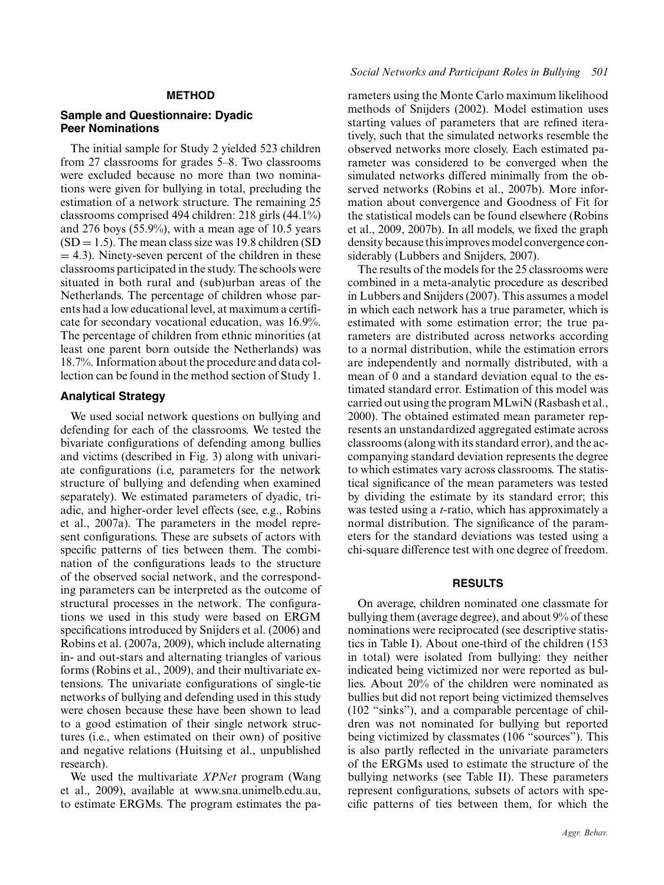#### **METHOD**

# **Sample and Questionnaire: Dyadic Peer Nominations**

The initial sample for Study 2 yielded 523 children from 27 classrooms for grades 5–8. Two classrooms were excluded because no more than two nominations were given for bullying in total, precluding the estimation of a network structure. The remaining 25 classrooms comprised 494 children: 218 girls (44.1%) and 276 boys (55.9%), with a mean age of 10.5 years  $(SD = 1.5)$ . The mean class size was 19.8 children  $(SD)$  $= 4.3$ ). Ninety-seven percent of the children in these classrooms participated in the study. The schools were situated in both rural and (sub)urban areas of the Netherlands. The percentage of children whose parents had a low educational level, at maximum a certificate for secondary vocational education, was 16.9%. The percentage of children from ethnic minorities (at least one parent born outside the Netherlands) was 18.7%. Information about the procedure and data collection can be found in the method section of Study 1.

# **Analytical Strategy**

We used social network questions on bullying and defending for each of the classrooms. We tested the bivariate configurations of defending among bullies and victims (described in Fig. 3) along with univariate configurations (i.e, parameters for the network structure of bullying and defending when examined separately). We estimated parameters of dyadic, triadic, and higher-order level effects (see, e.g., Robins et al., 2007a). The parameters in the model represent configurations. These are subsets of actors with specific patterns of ties between them. The combination of the configurations leads to the structure of the observed social network, and the corresponding parameters can be interpreted as the outcome of structural processes in the network. The configurations we used in this study were based on ERGM specifications introduced by Snijders et al. (2006) and Robins et al. (2007a, 2009), which include alternating in- and out-stars and alternating triangles of various forms (Robins et al., 2009), and their multivariate extensions. The univariate configurations of single-tie networks of bullying and defending used in this study were chosen because these have been shown to lead to a good estimation of their single network structures (i.e., when estimated on their own) of positive and negative relations (Huitsing et al., unpublished research).

We used the multivariate *XPNet* program (Wang et al., 2009), available at www.sna.unimelb.edu.au, to estimate ERGMs. The program estimates the pa-

# *Social Networks and Participant Roles in Bullying 501*

rameters using the Monte Carlo maximum likelihood methods of Snijders (2002). Model estimation uses starting values of parameters that are refined iteratively, such that the simulated networks resemble the observed networks more closely. Each estimated parameter was considered to be converged when the simulated networks differed minimally from the observed networks (Robins et al., 2007b). More information about convergence and Goodness of Fit for the statistical models can be found elsewhere (Robins et al., 2009, 2007b). In all models, we fixed the graph density because this improves model convergence considerably (Lubbers and Snijders, 2007).

The results of the models for the 25 classrooms were combined in a meta-analytic procedure as described in Lubbers and Snijders (2007). This assumes a model in which each network has a true parameter, which is estimated with some estimation error; the true parameters are distributed across networks according to a normal distribution, while the estimation errors are independently and normally distributed, with a mean of 0 and a standard deviation equal to the estimated standard error. Estimation of this model was carried out using the program MLwiN (Rasbash et al., 2000). The obtained estimated mean parameter represents an unstandardized aggregated estimate across classrooms (along with its standard error), and the accompanying standard deviation represents the degree to which estimates vary across classrooms. The statistical significance of the mean parameters was tested by dividing the estimate by its standard error; this was tested using a *t*-ratio, which has approximately a normal distribution. The significance of the parameters for the standard deviations was tested using a chi-square difference test with one degree of freedom.

# **RESULTS**

On average, children nominated one classmate for bullying them (average degree), and about 9% of these nominations were reciprocated (see descriptive statistics in Table I). About one-third of the children (153 in total) were isolated from bullying: they neither indicated being victimized nor were reported as bullies. About 20% of the children were nominated as bullies but did not report being victimized themselves (102 "sinks"), and a comparable percentage of children was not nominated for bullying but reported being victimized by classmates (106 "sources"). This is also partly reflected in the univariate parameters of the ERGMs used to estimate the structure of the bullying networks (see Table II). These parameters represent configurations, subsets of actors with specific patterns of ties between them, for which the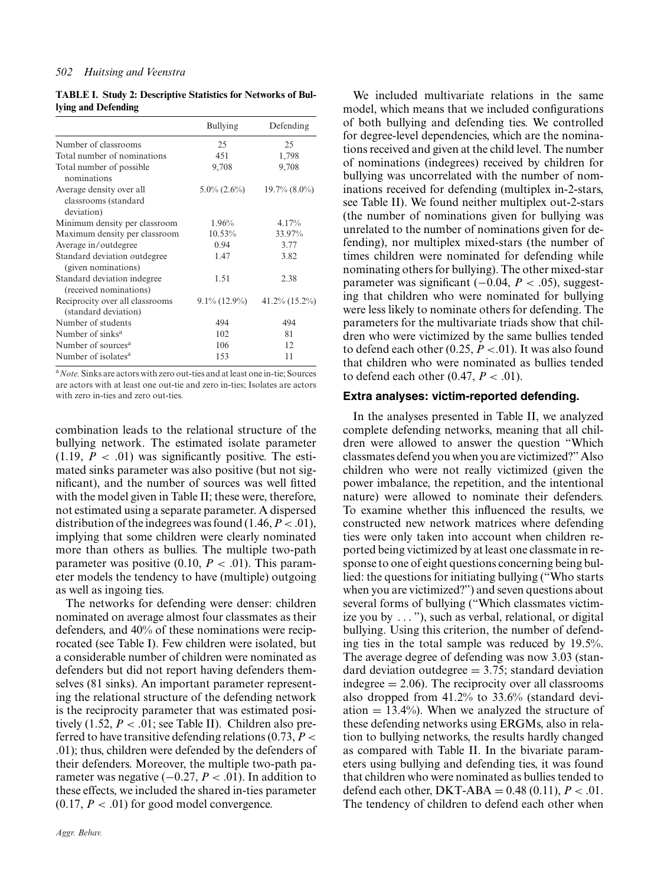|                                                                               | <b>Bullying</b>   | Defending           |
|-------------------------------------------------------------------------------|-------------------|---------------------|
| Number of classrooms                                                          | 25                | 25                  |
| Total number of nominations                                                   | 451               | 1,798               |
| Total number of possible                                                      | 9,708             | 9,708               |
| nominations<br>Average density over all<br>classrooms (standard<br>deviation) | $5.0\%$ $(2.6\%)$ | $19.7\%$ $(8.0\%)$  |
| Minimum density per classroom                                                 | $1.96\%$          | 4.17%               |
| Maximum density per classroom                                                 | 10.53%            | 33.97%              |
| Average in/outdegree                                                          | 0.94              | 3.77                |
| Standard deviation outdegree<br>(given nominations)                           | 1.47              | 3.82                |
| Standard deviation indegree<br>(received nominations)                         | 1.51              | 2.38                |
| Reciprocity over all classrooms<br>(standard deviation)                       | $9.1\%$ (12.9%)   | $41.2\%$ $(15.2\%)$ |
| Number of students                                                            | 494               | 494                 |
| Number of sinks <sup>a</sup>                                                  | 102               | 81                  |
| Number of sources <sup>a</sup>                                                | 106               | 12                  |
| Number of isolates <sup>a</sup>                                               | 153               | 11                  |

**TABLE I. Study 2: Descriptive Statistics for Networks of Bullying and Defending**

<sup>a</sup>*Note.* Sinks are actors with zero out-ties and at least one in-tie; Sources are actors with at least one out-tie and zero in-ties; Isolates are actors with zero in-ties and zero out-ties.

combination leads to the relational structure of the bullying network. The estimated isolate parameter  $(1.19, P < .01)$  was significantly positive. The estimated sinks parameter was also positive (but not significant), and the number of sources was well fitted with the model given in Table II; these were, therefore, not estimated using a separate parameter. A dispersed distribution of the indegrees was found  $(1.46, P < .01)$ , implying that some children were clearly nominated more than others as bullies. The multiple two-path parameter was positive  $(0.10, P < .01)$ . This parameter models the tendency to have (multiple) outgoing as well as ingoing ties.

The networks for defending were denser: children nominated on average almost four classmates as their defenders, and 40% of these nominations were reciprocated (see Table I). Few children were isolated, but a considerable number of children were nominated as defenders but did not report having defenders themselves (81 sinks). An important parameter representing the relational structure of the defending network is the reciprocity parameter that was estimated positively  $(1.52, P < .01;$  see Table II). Children also preferred to have transitive defending relations (0.73, *P* < .01); thus, children were defended by the defenders of their defenders. Moreover, the multiple two-path parameter was negative  $(-0.27, P < .01)$ . In addition to these effects, we included the shared in-ties parameter  $(0.17, P < .01)$  for good model convergence.

We included multivariate relations in the same model, which means that we included configurations of both bullying and defending ties. We controlled for degree-level dependencies, which are the nominations received and given at the child level. The number of nominations (indegrees) received by children for bullying was uncorrelated with the number of nominations received for defending (multiplex in-2-stars, see Table II). We found neither multiplex out-2-stars (the number of nominations given for bullying was unrelated to the number of nominations given for defending), nor multiplex mixed-stars (the number of times children were nominated for defending while nominating others for bullying). The other mixed-star parameter was significant (−0.04, *P* < .05), suggesting that children who were nominated for bullying were less likely to nominate others for defending. The parameters for the multivariate triads show that children who were victimized by the same bullies tended to defend each other  $(0.25, P < .01)$ . It was also found that children who were nominated as bullies tended to defend each other  $(0.47, P < .01)$ .

# **Extra analyses: victim-reported defending.**

In the analyses presented in Table II, we analyzed complete defending networks, meaning that all children were allowed to answer the question "Which classmates defend you when you are victimized?" Also children who were not really victimized (given the power imbalance, the repetition, and the intentional nature) were allowed to nominate their defenders. To examine whether this influenced the results, we constructed new network matrices where defending ties were only taken into account when children reported being victimized by at least one classmate in response to one of eight questions concerning being bullied: the questions for initiating bullying ("Who starts when you are victimized?") and seven questions about several forms of bullying ("Which classmates victimize you by . . . "), such as verbal, relational, or digital bullying. Using this criterion, the number of defending ties in the total sample was reduced by 19.5%. The average degree of defending was now 3.03 (standard deviation outdegree  $=$  3.75; standard deviation indegree  $= 2.06$ ). The reciprocity over all classrooms also dropped from 41.2% to 33.6% (standard deviation  $= 13.4\%$ ). When we analyzed the structure of these defending networks using ERGMs, also in relation to bullying networks, the results hardly changed as compared with Table II. In the bivariate parameters using bullying and defending ties, it was found that children who were nominated as bullies tended to defend each other, DKT-ABA =  $0.48(0.11)$ ,  $P < .01$ . The tendency of children to defend each other when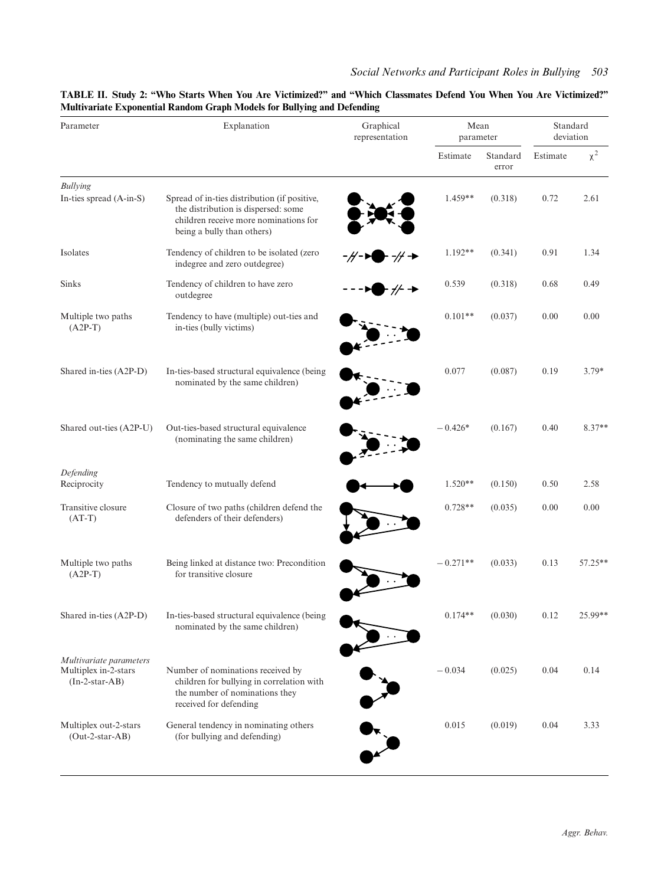| Parameter                                                           | Explanation                                                                                                                                | Graphical<br>representation | Mean<br>parameter |                   | Standard<br>deviation |          |
|---------------------------------------------------------------------|--------------------------------------------------------------------------------------------------------------------------------------------|-----------------------------|-------------------|-------------------|-----------------------|----------|
|                                                                     |                                                                                                                                            |                             | Estimate          | Standard<br>error | Estimate              | $\chi^2$ |
| Bullying<br>In-ties spread (A-in-S)                                 | Spread of in-ties distribution (if positive,<br>the distribution is dispersed: some                                                        |                             | $1.459**$         | (0.318)           | 0.72                  | 2.61     |
|                                                                     | children receive more nominations for<br>being a bully than others)                                                                        |                             |                   |                   |                       |          |
| Isolates                                                            | Tendency of children to be isolated (zero<br>indegree and zero outdegree)                                                                  |                             | $1.192**$         | (0.341)           | 0.91                  | 1.34     |
| Sinks                                                               | Tendency of children to have zero<br>outdegree                                                                                             | ≁∕⊢ →                       | 0.539             | (0.318)           | 0.68                  | 0.49     |
| Multiple two paths<br>$(A2P-T)$                                     | Tendency to have (multiple) out-ties and<br>in-ties (bully victims)                                                                        |                             | $0.101**$         | (0.037)           | 0.00                  | 0.00     |
| Shared in-ties (A2P-D)                                              | In-ties-based structural equivalence (being<br>nominated by the same children)                                                             |                             | 0.077             | (0.087)           | 0.19                  | $3.79*$  |
| Shared out-ties (A2P-U)                                             | Out-ties-based structural equivalence<br>(nominating the same children)                                                                    |                             | $-0.426*$         | (0.167)           | 0.40                  | $8.37**$ |
| Defending<br>Reciprocity                                            | Tendency to mutually defend                                                                                                                |                             | $1.520**$         | (0.150)           | 0.50                  | 2.58     |
| Transitive closure<br>$(AT-T)$                                      | Closure of two paths (children defend the<br>defenders of their defenders)                                                                 |                             | $0.728**$         | (0.035)           | 0.00                  | 0.00     |
| Multiple two paths<br>$(A2P-T)$                                     | Being linked at distance two: Precondition<br>for transitive closure                                                                       |                             | $-0.271**$        | (0.033)           | 0.13                  | 57.25**  |
| Shared in-ties (A2P-D)                                              | In-ties-based structural equivalence (being<br>nominated by the same children)                                                             |                             | $0.174**$         | (0.030)           | 0.12                  | 25.99**  |
| Multivariate parameters<br>Multiplex in-2-stars<br>$(In-2-star-AB)$ | Number of nominations received by<br>children for bullying in correlation with<br>the number of nominations they<br>received for defending |                             | $-0.034$          | (0.025)           | 0.04                  | 0.14     |
| Multiplex out-2-stars<br>$(Out-2-star-AB)$                          | General tendency in nominating others<br>(for bullying and defending)                                                                      |                             | 0.015             | (0.019)           | 0.04                  | 3.33     |

# **TABLE II. Study 2: "Who Starts When You Are Victimized?" and "Which Classmates Defend You When You Are Victimized?" Multivariate Exponential Random Graph Models for Bullying and Defending**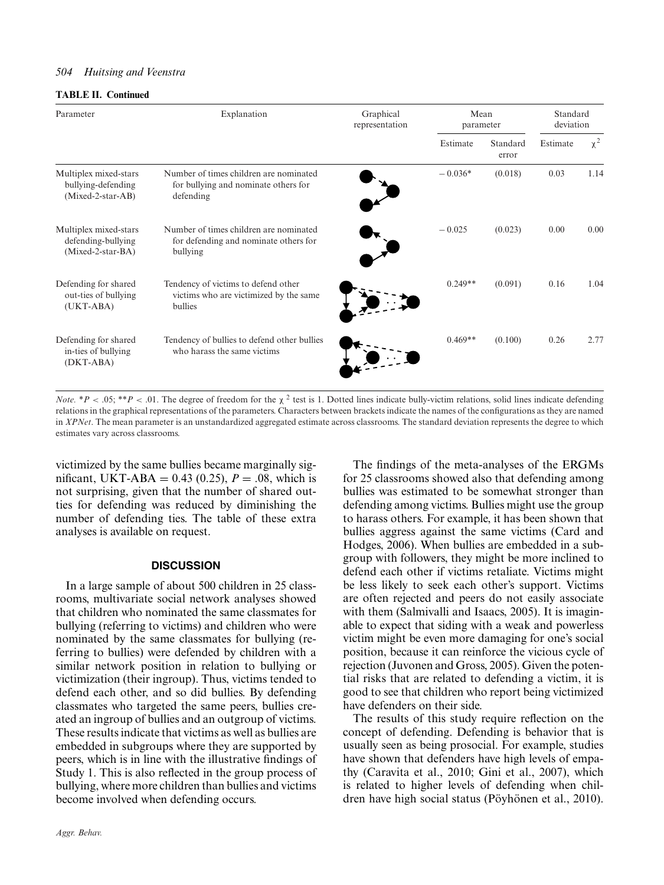#### *504 Huitsing and Veenstra*

#### **TABLE II. Continued**

| Parameter                                                          | Explanation                                                                                 | Graphical<br>representation | Mean<br>parameter |                   | Standard<br>deviation |          |
|--------------------------------------------------------------------|---------------------------------------------------------------------------------------------|-----------------------------|-------------------|-------------------|-----------------------|----------|
|                                                                    |                                                                                             |                             | Estimate          | Standard<br>error | Estimate              | $\chi^2$ |
| Multiplex mixed-stars<br>bullying-defending<br>$(Mixed-2-star-AB)$ | Number of times children are nominated<br>for bullying and nominate others for<br>defending |                             | $-0.036*$         | (0.018)           | 0.03                  | 1.14     |
| Multiplex mixed-stars<br>defending-bullying<br>$(Mixed-2-star-BA)$ | Number of times children are nominated<br>for defending and nominate others for<br>bullying |                             | $-0.025$          | (0.023)           | 0.00                  | 0.00     |
| Defending for shared<br>out-ties of bullying<br>$(UKT-ABA)$        | Tendency of victims to defend other<br>victims who are victimized by the same<br>bullies    |                             | $0.249**$         | (0.091)           | 0.16                  | 1.04     |
| Defending for shared<br>in-ties of bullying<br>(DKT-ABA)           | Tendency of bullies to defend other bullies<br>who harass the same victims                  |                             | $0.469**$         | (0.100)           | 0.26                  | 2.77     |

*Note.* \**P* < .05; \*\**P* < .01. The degree of freedom for the  $\chi^2$  test is 1. Dotted lines indicate bully-victim relations, solid lines indicate defending relations in the graphical representations of the parameters. Characters between brackets indicate the names of the configurations as they are named in *XPNet*. The mean parameter is an unstandardized aggregated estimate across classrooms. The standard deviation represents the degree to which estimates vary across classrooms.

victimized by the same bullies became marginally significant, UKT-ABA =  $0.43$  (0.25),  $P = .08$ , which is not surprising, given that the number of shared outties for defending was reduced by diminishing the number of defending ties. The table of these extra analyses is available on request.

## **DISCUSSION**

In a large sample of about 500 children in 25 classrooms, multivariate social network analyses showed that children who nominated the same classmates for bullying (referring to victims) and children who were nominated by the same classmates for bullying (referring to bullies) were defended by children with a similar network position in relation to bullying or victimization (their ingroup). Thus, victims tended to defend each other, and so did bullies. By defending classmates who targeted the same peers, bullies created an ingroup of bullies and an outgroup of victims. These results indicate that victims as well as bullies are embedded in subgroups where they are supported by peers, which is in line with the illustrative findings of Study 1. This is also reflected in the group process of bullying, where more children than bullies and victims become involved when defending occurs.

*Aggr. Behav.*

The findings of the meta-analyses of the ERGMs for 25 classrooms showed also that defending among bullies was estimated to be somewhat stronger than defending among victims. Bullies might use the group to harass others. For example, it has been shown that bullies aggress against the same victims (Card and Hodges, 2006). When bullies are embedded in a subgroup with followers, they might be more inclined to defend each other if victims retaliate. Victims might be less likely to seek each other's support. Victims are often rejected and peers do not easily associate with them (Salmivalli and Isaacs, 2005). It is imaginable to expect that siding with a weak and powerless victim might be even more damaging for one's social position, because it can reinforce the vicious cycle of rejection (Juvonen and Gross, 2005). Given the potential risks that are related to defending a victim, it is good to see that children who report being victimized have defenders on their side.

The results of this study require reflection on the concept of defending. Defending is behavior that is usually seen as being prosocial. For example, studies have shown that defenders have high levels of empathy (Caravita et al., 2010; Gini et al., 2007), which is related to higher levels of defending when children have high social status (Pöyhönen et al., 2010).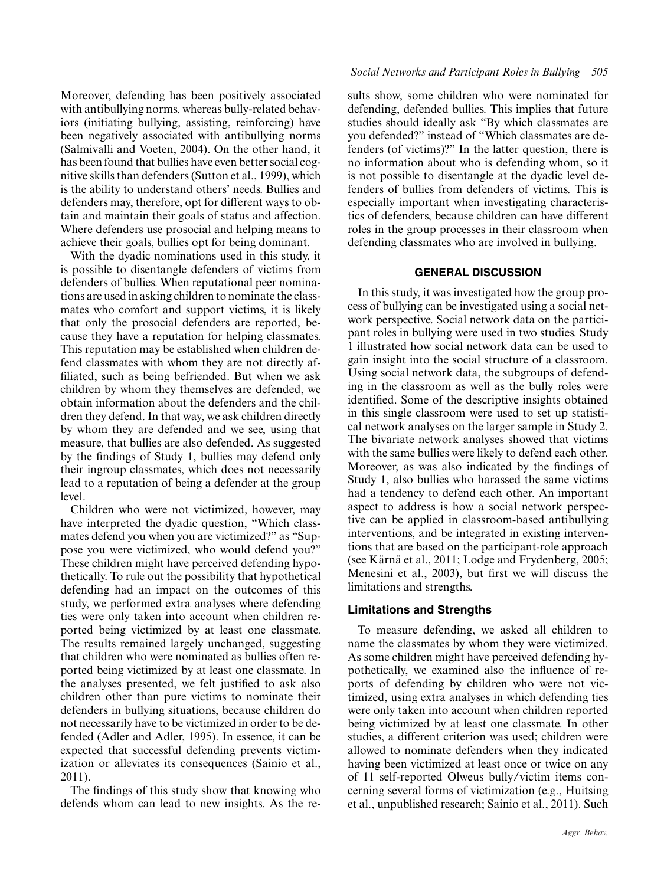Moreover, defending has been positively associated with antibullying norms, whereas bully-related behaviors (initiating bullying, assisting, reinforcing) have been negatively associated with antibullying norms (Salmivalli and Voeten, 2004). On the other hand, it has been found that bullies have even better social cognitive skills than defenders (Sutton et al., 1999), which is the ability to understand others' needs. Bullies and defenders may, therefore, opt for different ways to obtain and maintain their goals of status and affection. Where defenders use prosocial and helping means to achieve their goals, bullies opt for being dominant.

With the dyadic nominations used in this study, it is possible to disentangle defenders of victims from defenders of bullies. When reputational peer nominations are used in asking children to nominate the classmates who comfort and support victims, it is likely that only the prosocial defenders are reported, because they have a reputation for helping classmates. This reputation may be established when children defend classmates with whom they are not directly affiliated, such as being befriended. But when we ask children by whom they themselves are defended, we obtain information about the defenders and the children they defend. In that way, we ask children directly by whom they are defended and we see, using that measure, that bullies are also defended. As suggested by the findings of Study 1, bullies may defend only their ingroup classmates, which does not necessarily lead to a reputation of being a defender at the group level.

Children who were not victimized, however, may have interpreted the dyadic question, "Which classmates defend you when you are victimized?" as "Suppose you were victimized, who would defend you?" These children might have perceived defending hypothetically. To rule out the possibility that hypothetical defending had an impact on the outcomes of this study, we performed extra analyses where defending ties were only taken into account when children reported being victimized by at least one classmate. The results remained largely unchanged, suggesting that children who were nominated as bullies often reported being victimized by at least one classmate. In the analyses presented, we felt justified to ask also children other than pure victims to nominate their defenders in bullying situations, because children do not necessarily have to be victimized in order to be defended (Adler and Adler, 1995). In essence, it can be expected that successful defending prevents victimization or alleviates its consequences (Sainio et al., 2011).

The findings of this study show that knowing who defends whom can lead to new insights. As the re-

## *Social Networks and Participant Roles in Bullying 505*

sults show, some children who were nominated for defending, defended bullies. This implies that future studies should ideally ask "By which classmates are you defended?" instead of "Which classmates are defenders (of victims)?" In the latter question, there is no information about who is defending whom, so it is not possible to disentangle at the dyadic level defenders of bullies from defenders of victims. This is especially important when investigating characteristics of defenders, because children can have different roles in the group processes in their classroom when defending classmates who are involved in bullying.

# **GENERAL DISCUSSION**

In this study, it was investigated how the group process of bullying can be investigated using a social network perspective. Social network data on the participant roles in bullying were used in two studies. Study 1 illustrated how social network data can be used to gain insight into the social structure of a classroom. Using social network data, the subgroups of defending in the classroom as well as the bully roles were identified. Some of the descriptive insights obtained in this single classroom were used to set up statistical network analyses on the larger sample in Study 2. The bivariate network analyses showed that victims with the same bullies were likely to defend each other. Moreover, as was also indicated by the findings of Study 1, also bullies who harassed the same victims had a tendency to defend each other. An important aspect to address is how a social network perspective can be applied in classroom-based antibullying interventions, and be integrated in existing interventions that are based on the participant-role approach (see Kärnä et al., 2011; Lodge and Frydenberg, 2005; Menesini et al., 2003), but first we will discuss the limitations and strengths.

# **Limitations and Strengths**

To measure defending, we asked all children to name the classmates by whom they were victimized. As some children might have perceived defending hypothetically, we examined also the influence of reports of defending by children who were not victimized, using extra analyses in which defending ties were only taken into account when children reported being victimized by at least one classmate. In other studies, a different criterion was used; children were allowed to nominate defenders when they indicated having been victimized at least once or twice on any of 11 self-reported Olweus bully/victim items concerning several forms of victimization (e.g., Huitsing et al., unpublished research; Sainio et al., 2011). Such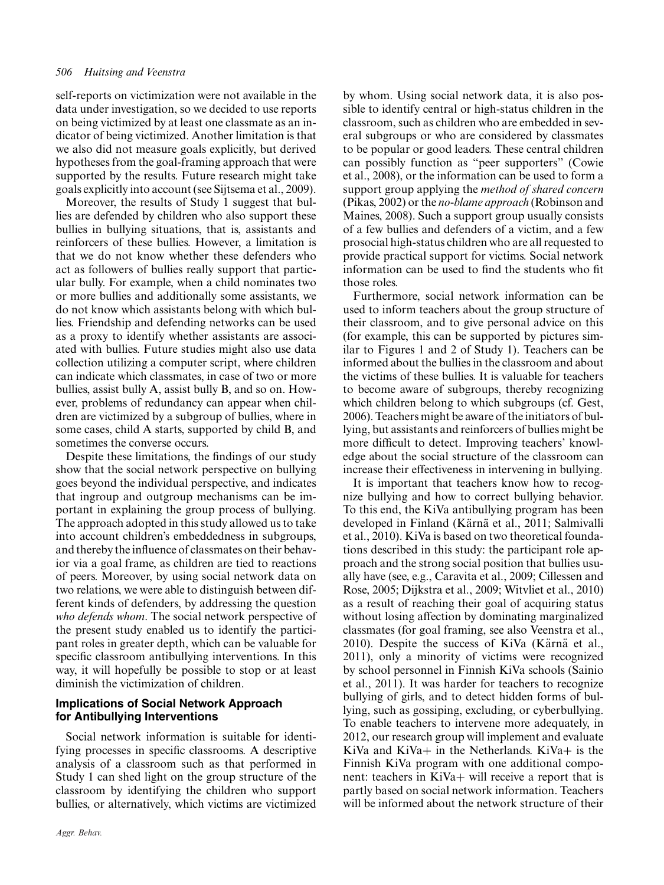self-reports on victimization were not available in the data under investigation, so we decided to use reports on being victimized by at least one classmate as an indicator of being victimized. Another limitation is that we also did not measure goals explicitly, but derived hypotheses from the goal-framing approach that were supported by the results. Future research might take goals explicitly into account (see Sijtsema et al., 2009).

Moreover, the results of Study 1 suggest that bullies are defended by children who also support these bullies in bullying situations, that is, assistants and reinforcers of these bullies. However, a limitation is that we do not know whether these defenders who act as followers of bullies really support that particular bully. For example, when a child nominates two or more bullies and additionally some assistants, we do not know which assistants belong with which bullies. Friendship and defending networks can be used as a proxy to identify whether assistants are associated with bullies. Future studies might also use data collection utilizing a computer script, where children can indicate which classmates, in case of two or more bullies, assist bully A, assist bully B, and so on. However, problems of redundancy can appear when children are victimized by a subgroup of bullies, where in some cases, child A starts, supported by child B, and sometimes the converse occurs.

Despite these limitations, the findings of our study show that the social network perspective on bullying goes beyond the individual perspective, and indicates that ingroup and outgroup mechanisms can be important in explaining the group process of bullying. The approach adopted in this study allowed us to take into account children's embeddedness in subgroups, and thereby the influence of classmates on their behavior via a goal frame, as children are tied to reactions of peers. Moreover, by using social network data on two relations, we were able to distinguish between different kinds of defenders, by addressing the question *who defends whom*. The social network perspective of the present study enabled us to identify the participant roles in greater depth, which can be valuable for specific classroom antibullying interventions. In this way, it will hopefully be possible to stop or at least diminish the victimization of children.

# **Implications of Social Network Approach for Antibullying Interventions**

Social network information is suitable for identifying processes in specific classrooms. A descriptive analysis of a classroom such as that performed in Study 1 can shed light on the group structure of the classroom by identifying the children who support bullies, or alternatively, which victims are victimized

by whom. Using social network data, it is also possible to identify central or high-status children in the classroom, such as children who are embedded in several subgroups or who are considered by classmates to be popular or good leaders. These central children can possibly function as "peer supporters" (Cowie et al., 2008), or the information can be used to form a support group applying the *method of shared concern* (Pikas, 2002) or the *no-blame approach* (Robinson and Maines, 2008). Such a support group usually consists of a few bullies and defenders of a victim, and a few prosocial high-status children who are all requested to provide practical support for victims. Social network information can be used to find the students who fit those roles.

Furthermore, social network information can be used to inform teachers about the group structure of their classroom, and to give personal advice on this (for example, this can be supported by pictures similar to Figures 1 and 2 of Study 1). Teachers can be informed about the bullies in the classroom and about the victims of these bullies. It is valuable for teachers to become aware of subgroups, thereby recognizing which children belong to which subgroups (cf. Gest, 2006). Teachers might be aware of the initiators of bullying, but assistants and reinforcers of bullies might be more difficult to detect. Improving teachers' knowledge about the social structure of the classroom can increase their effectiveness in intervening in bullying.

It is important that teachers know how to recognize bullying and how to correct bullying behavior. To this end, the KiVa antibullying program has been developed in Finland (Kärnä et al., 2011; Salmivalli et al., 2010). KiVa is based on two theoretical foundations described in this study: the participant role approach and the strong social position that bullies usually have (see, e.g., Caravita et al., 2009; Cillessen and Rose, 2005; Dijkstra et al., 2009; Witvliet et al., 2010) as a result of reaching their goal of acquiring status without losing affection by dominating marginalized classmates (for goal framing, see also Veenstra et al., 2010). Despite the success of KiVa (Kärnä et al., 2011), only a minority of victims were recognized by school personnel in Finnish KiVa schools (Sainio et al., 2011). It was harder for teachers to recognize bullying of girls, and to detect hidden forms of bullying, such as gossiping, excluding, or cyberbullying. To enable teachers to intervene more adequately, in 2012, our research group will implement and evaluate KiVa and KiVa+ in the Netherlands. KiVa+ is the Finnish KiVa program with one additional component: teachers in KiVa+ will receive a report that is partly based on social network information. Teachers will be informed about the network structure of their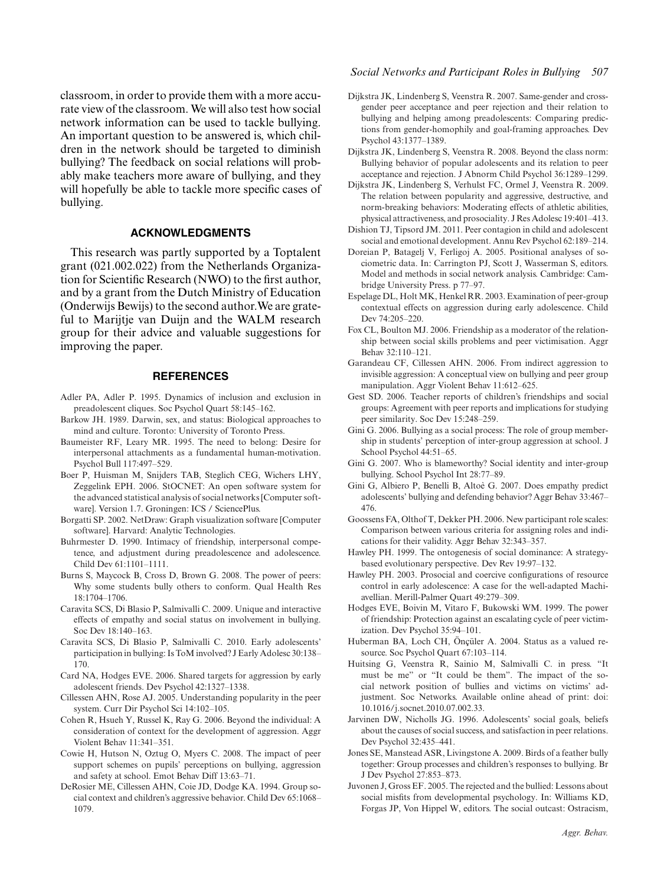classroom, in order to provide them with a more accurate view of the classroom. We will also test how social network information can be used to tackle bullying. An important question to be answered is, which children in the network should be targeted to diminish bullying? The feedback on social relations will probably make teachers more aware of bullying, and they will hopefully be able to tackle more specific cases of bullying.

# **ACKNOWLEDGMENTS**

This research was partly supported by a Toptalent grant (021.002.022) from the Netherlands Organization for Scientific Research (NWO) to the first author, and by a grant from the Dutch Ministry of Education (Onderwijs Bewijs) to the second author.We are grateful to Marijtje van Duijn and the WALM research group for their advice and valuable suggestions for improving the paper.

#### **REFERENCES**

- Adler PA, Adler P. 1995. Dynamics of inclusion and exclusion in preadolescent cliques. Soc Psychol Quart 58:145–162.
- Barkow JH. 1989. Darwin, sex, and status: Biological approaches to mind and culture. Toronto: University of Toronto Press.
- Baumeister RF, Leary MR. 1995. The need to belong: Desire for interpersonal attachments as a fundamental human-motivation. Psychol Bull 117:497–529.
- Boer P, Huisman M, Snijders TAB, Steglich CEG, Wichers LHY, Zeggelink EPH. 2006. StOCNET: An open software system for the advanced statistical analysis of social networks [Computer software]. Version 1.7. Groningen: ICS / SciencePlus.
- Borgatti SP. 2002. NetDraw: Graph visualization software [Computer software]. Harvard: Analytic Technologies.
- Buhrmester D. 1990. Intimacy of friendship, interpersonal competence, and adjustment during preadolescence and adolescence. Child Dev 61:1101–1111.
- Burns S, Maycock B, Cross D, Brown G. 2008. The power of peers: Why some students bully others to conform. Qual Health Res 18:1704–1706.
- Caravita SCS, Di Blasio P, Salmivalli C. 2009. Unique and interactive effects of empathy and social status on involvement in bullying. Soc Dev 18:140–163.
- Caravita SCS, Di Blasio P, Salmivalli C. 2010. Early adolescents' participation in bullying: Is ToM involved? J Early Adolesc 30:138– 170.
- Card NA, Hodges EVE. 2006. Shared targets for aggression by early adolescent friends. Dev Psychol 42:1327–1338.
- Cillessen AHN, Rose AJ. 2005. Understanding popularity in the peer system. Curr Dir Psychol Sci 14:102–105.
- Cohen R, Hsueh Y, Russel K, Ray G. 2006. Beyond the individual: A consideration of context for the development of aggression. Aggr Violent Behav 11:341–351.
- Cowie H, Hutson N, Oztug O, Myers C. 2008. The impact of peer support schemes on pupils' perceptions on bullying, aggression and safety at school. Emot Behav Diff 13:63–71.
- DeRosier ME, Cillessen AHN, Coie JD, Dodge KA. 1994. Group social context and children's aggressive behavior. Child Dev 65:1068– 1079.

#### *Social Networks and Participant Roles in Bullying 507*

- Dijkstra JK, Lindenberg S, Veenstra R. 2007. Same-gender and crossgender peer acceptance and peer rejection and their relation to bullying and helping among preadolescents: Comparing predictions from gender-homophily and goal-framing approaches. Dev Psychol 43:1377–1389.
- Dijkstra JK, Lindenberg S, Veenstra R. 2008. Beyond the class norm: Bullying behavior of popular adolescents and its relation to peer acceptance and rejection. J Abnorm Child Psychol 36:1289–1299.
- Dijkstra JK, Lindenberg S, Verhulst FC, Ormel J, Veenstra R. 2009. The relation between popularity and aggressive, destructive, and norm-breaking behaviors: Moderating effects of athletic abilities, physical attractiveness, and prosociality. J Res Adolesc 19:401–413.
- Dishion TJ, Tipsord JM. 2011. Peer contagion in child and adolescent social and emotional development. Annu Rev Psychol 62:189–214.
- Doreian P, Batagelj V, Ferligoj A. 2005. Positional analyses of sociometric data. In: Carrington PJ, Scott J, Wasserman S, editors. Model and methods in social network analysis. Cambridge: Cambridge University Press. p 77–97.
- Espelage DL, Holt MK, Henkel RR. 2003. Examination of peer-group contextual effects on aggression during early adolescence. Child Dev 74:205–220.
- Fox CL, Boulton MJ. 2006. Friendship as a moderator of the relationship between social skills problems and peer victimisation. Aggr Behav 32:110–121.
- Garandeau CF, Cillessen AHN. 2006. From indirect aggression to invisible aggression: A conceptual view on bullying and peer group manipulation. Aggr Violent Behav 11:612–625.
- Gest SD. 2006. Teacher reports of children's friendships and social groups: Agreement with peer reports and implications for studying peer similarity. Soc Dev 15:248–259.
- Gini G. 2006. Bullying as a social process: The role of group membership in students' perception of inter-group aggression at school. J School Psychol 44:51–65.
- Gini G. 2007. Who is blameworthy? Social identity and inter-group bullying. School Psychol Int 28:77–89.
- Gini G, Albiero P, Benelli B, Altoè G. 2007. Does empathy predict adolescents' bullying and defending behavior? Aggr Behav 33:467– 476.
- Goossens FA, Olthof T, Dekker PH. 2006. New participant role scales: Comparison between various criteria for assigning roles and indications for their validity. Aggr Behav 32:343–357.
- Hawley PH. 1999. The ontogenesis of social dominance: A strategybased evolutionary perspective. Dev Rev 19:97–132.
- Hawley PH. 2003. Prosocial and coercive configurations of resource control in early adolescence: A case for the well-adapted Machiavellian. Merill-Palmer Quart 49:279–309.
- Hodges EVE, Boivin M, Vitaro F, Bukowski WM. 1999. The power of friendship: Protection against an escalating cycle of peer victimization. Dev Psychol 35:94–101.
- Huberman BA, Loch CH, Önçüler A. 2004. Status as a valued resource. Soc Psychol Quart 67:103–114.
- Huitsing G, Veenstra R, Sainio M, Salmivalli C. in press. "It must be me" or "It could be them". The impact of the social network position of bullies and victims on victims' adjustment. Soc Networks. Available online ahead of print: doi: 10.1016/j.socnet.2010.07.002.33.
- Jarvinen DW, Nicholls JG. 1996. Adolescents' social goals, beliefs about the causes of social success, and satisfaction in peer relations. Dev Psychol 32:435–441.
- Jones SE, Manstead ASR, Livingstone A. 2009. Birds of a feather bully together: Group processes and children's responses to bullying. Br J Dev Psychol 27:853–873.
- Juvonen J, Gross EF. 2005. The rejected and the bullied: Lessons about social misfits from developmental psychology. In: Williams KD, Forgas JP, Von Hippel W, editors. The social outcast: Ostracism,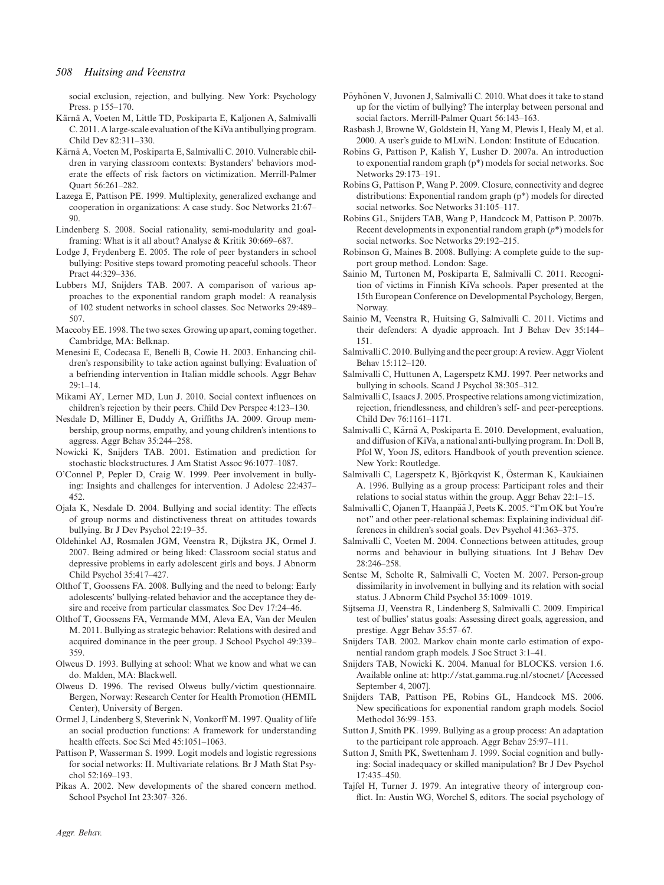social exclusion, rejection, and bullying. New York: Psychology Press. p 155–170.

- Kärnä A, Voeten M, Little TD, Poskiparta E, Kaljonen A, Salmivalli C. 2011. A large-scale evaluation of the KiVa antibullying program. Child Dev 82:311–330.
- Kärnä A, Voeten M, Poskiparta E, Salmivalli C. 2010. Vulnerable children in varying classroom contexts: Bystanders' behaviors moderate the effects of risk factors on victimization. Merrill-Palmer Quart 56:261–282.
- Lazega E, Pattison PE. 1999. Multiplexity, generalized exchange and cooperation in organizations: A case study. Soc Networks 21:67– 90.
- Lindenberg S. 2008. Social rationality, semi-modularity and goalframing: What is it all about? Analyse & Kritik 30:669–687.
- Lodge J, Frydenberg E. 2005. The role of peer bystanders in school bullying: Positive steps toward promoting peaceful schools. Theor Pract 44:329–336.
- Lubbers MJ, Snijders TAB. 2007. A comparison of various approaches to the exponential random graph model: A reanalysis of 102 student networks in school classes. Soc Networks 29:489– 507.
- Maccoby EE. 1998. The two sexes. Growing up apart, coming together. Cambridge, MA: Belknap.
- Menesini E, Codecasa E, Benelli B, Cowie H. 2003. Enhancing children's responsibility to take action against bullying: Evaluation of a befriending intervention in Italian middle schools. Aggr Behav 29:1–14.
- Mikami AY, Lerner MD, Lun J. 2010. Social context influences on children's rejection by their peers. Child Dev Perspec 4:123–130.
- Nesdale D, Milliner E, Duddy A, Griffiths JA. 2009. Group membership, group norms, empathy, and young children's intentions to aggress. Aggr Behav 35:244–258.
- Nowicki K, Snijders TAB. 2001. Estimation and prediction for stochastic blockstructures. J Am Statist Assoc 96:1077–1087.
- O'Connel P, Pepler D, Craig W. 1999. Peer involvement in bullying: Insights and challenges for intervention. J Adolesc 22:437– 452.
- Ojala K, Nesdale D. 2004. Bullying and social identity: The effects of group norms and distinctiveness threat on attitudes towards bullying. Br J Dev Psychol 22:19–35.
- Oldehinkel AJ, Rosmalen JGM, Veenstra R, Dijkstra JK, Ormel J. 2007. Being admired or being liked: Classroom social status and depressive problems in early adolescent girls and boys. J Abnorm Child Psychol 35:417–427.
- Olthof T, Goossens FA. 2008. Bullying and the need to belong: Early adolescents' bullying-related behavior and the acceptance they desire and receive from particular classmates. Soc Dev 17:24–46.
- Olthof T, Goossens FA, Vermande MM, Aleva EA, Van der Meulen M. 2011. Bullying as strategic behavior: Relations with desired and acquired dominance in the peer group. J School Psychol 49:339– 359.
- Olweus D. 1993. Bullying at school: What we know and what we can do. Malden, MA: Blackwell.
- Olweus D. 1996. The revised Olweus bully/victim questionnaire. Bergen, Norway: Research Center for Health Promotion (HEMIL Center), University of Bergen.
- Ormel J, Lindenberg S, Steverink N, Vonkorff M. 1997. Quality of life an social production functions: A framework for understanding health effects. Soc Sci Med 45:1051–1063.
- Pattison P, Wasserman S. 1999. Logit models and logistic regressions for social networks: II. Multivariate relations. Br J Math Stat Psychol 52:169–193.
- Pikas A. 2002. New developments of the shared concern method. School Psychol Int 23:307–326.
- Pöyhönen V, Juvonen J, Salmivalli C. 2010. What does it take to stand up for the victim of bullying? The interplay between personal and social factors. Merrill-Palmer Quart 56:143–163.
- Rasbash J, Browne W, Goldstein H, Yang M, Plewis I, Healy M, et al. 2000. A user's guide to MLwiN. London: Institute of Education.
- Robins G, Pattison P, Kalish Y, Lusher D. 2007a. An introduction to exponential random graph (p\*) models for social networks. Soc Networks 29:173–191.
- Robins G, Pattison P, Wang P. 2009. Closure, connectivity and degree distributions: Exponential random graph (p\*) models for directed social networks. Soc Networks 31:105–117.
- Robins GL, Snijders TAB, Wang P, Handcock M, Pattison P. 2007b. Recent developments in exponential random graph (*p*\*) models for social networks. Soc Networks 29:192–215.
- Robinson G, Maines B. 2008. Bullying: A complete guide to the support group method. London: Sage.
- Sainio M, Turtonen M, Poskiparta E, Salmivalli C. 2011. Recognition of victims in Finnish KiVa schools. Paper presented at the 15th European Conference on Developmental Psychology, Bergen, Norway.
- Sainio M, Veenstra R, Huitsing G, Salmivalli C. 2011. Victims and their defenders: A dyadic approach. Int J Behav Dev 35:144– 151.
- Salmivalli C. 2010. Bullying and the peer group: A review. Aggr Violent Behav 15:112–120.
- Salmivalli C, Huttunen A, Lagerspetz KMJ. 1997. Peer networks and bullying in schools. Scand J Psychol 38:305–312.
- Salmivalli C, Isaacs J. 2005. Prospective relations among victimization, rejection, friendlessness, and children's self- and peer-perceptions. Child Dev 76:1161–1171.
- Salmivalli C, Kärnä A, Poskiparta E. 2010. Development, evaluation, and diffusion of KiVa, a national anti-bullying program. In: Doll B, Pfol W, Yoon JS, editors. Handbook of youth prevention science. New York: Routledge.
- Salmivalli C, Lagerspetz K, Björkqvist K, Österman K, Kaukiainen A. 1996. Bullying as a group process: Participant roles and their relations to social status within the group. Aggr Behav 22:1–15.
- Salmivalli C, Ojanen T, Haanpää J, Peets K. 2005. "I'm OK but You're not" and other peer-relational schemas: Explaining individual differences in children's social goals. Dev Psychol 41:363–375.
- Salmivalli C, Voeten M. 2004. Connections between attitudes, group norms and behaviour in bullying situations. Int J Behav Dev 28:246–258.
- Sentse M, Scholte R, Salmivalli C, Voeten M. 2007. Person-group dissimilarity in involvement in bullying and its relation with social status. J Abnorm Child Psychol 35:1009–1019.
- Sijtsema JJ, Veenstra R, Lindenberg S, Salmivalli C. 2009. Empirical test of bullies' status goals: Assessing direct goals, aggression, and prestige. Aggr Behav 35:57–67.
- Snijders TAB. 2002. Markov chain monte carlo estimation of exponential random graph models. J Soc Struct 3:1–41.
- Snijders TAB, Nowicki K. 2004. Manual for BLOCKS. version 1.6. Available online at: http://stat.gamma.rug.nl/stocnet/ [Accessed September 4, 2007].
- Snijders TAB, Pattison PE, Robins GL, Handcock MS. 2006. New specifications for exponential random graph models. Sociol Methodol 36:99–153.
- Sutton J, Smith PK. 1999. Bullying as a group process: An adaptation to the participant role approach. Aggr Behav 25:97–111.
- Sutton J, Smith PK, Swettenham J. 1999. Social cognition and bullying: Social inadequacy or skilled manipulation? Br J Dev Psychol 17:435–450.
- Tajfel H, Turner J. 1979. An integrative theory of intergroup conflict. In: Austin WG, Worchel S, editors. The social psychology of